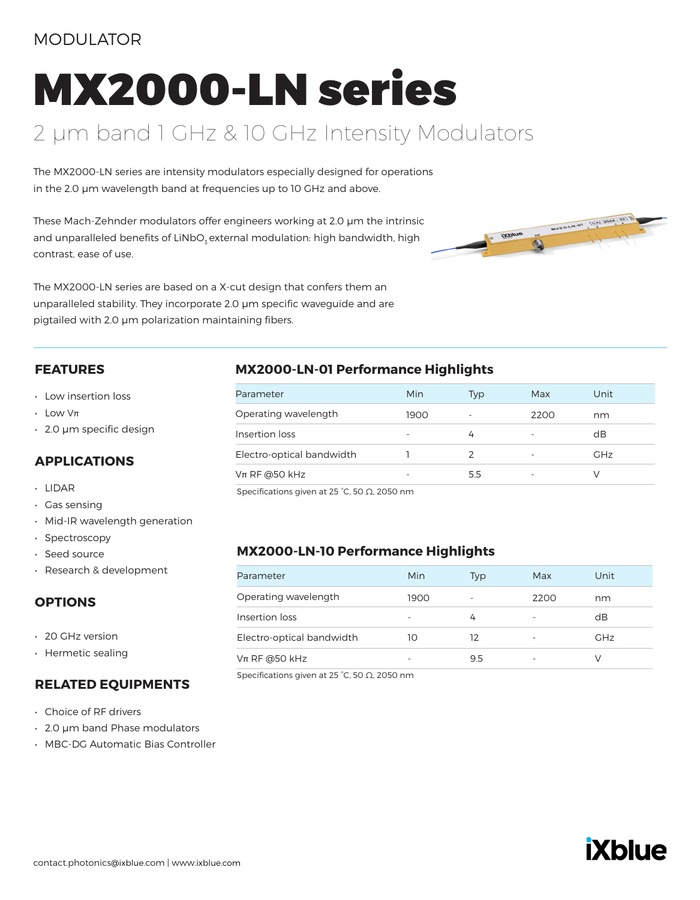## MODULATOR

# MX2000-LN series

## 2 µm band 1 GHz & 10 GHz Intensity Modulators

The MX2000-LN series are intensity modulators especially designed for operations in the 2.0 µm wavelength band at frequencies up to 10 GHz and above.

These Mach-Zehnder modulators offer engineers working at 2.0 μm the intrinsic and unparalleled benefits of LiNbO<sub>z</sub> external modulation: high bandwidth, high contrast, ease of use.



The MX2000-LN series are based on a X-cut design that confers them an unparalleled stability. They incorporate 2.0 μm specific waveguide and are pigtailed with 2.0 μm polarization maintaining fibers.

#### **FEATURES**

- Low insertion loss
- Low Vπ
- 2.0 μm specific design

#### **APPLICATIONS**

- LIDAR
- Gas sensing
- Mid-IR wavelength generation
- Spectroscopy
- Seed source
- Research & development

## **OPTIONS**

- 20 GHz version
- Hermetic sealing

#### **RELATED EQUIPMENTS**

- Choice of RF drivers
- 2.0 μm band Phase modulators
- MBC-DG Automatic Bias Controller

## **MX2000-LN-01 Performance Highlights**

| Parameter                 | Min                      | Typ                      | Max  | Unit       |
|---------------------------|--------------------------|--------------------------|------|------------|
| Operating wavelength      | 1900                     | $\overline{\phantom{a}}$ | 2200 | nm         |
| Insertion loss            | $\overline{\phantom{a}}$ | 4                        | -    | dB         |
| Electro-optical bandwidth |                          |                          |      | <b>GHz</b> |
| $Vπ$ RF @50 kHz           | ۰                        | 5.5                      |      |            |

Specifications given at 25 °C, 50 Ω, 2050 nm

## **MX2000-LN-10 Performance Highlights**

| Parameter                 | Min  | Typ | Max  | Unit       |
|---------------------------|------|-----|------|------------|
| Operating wavelength      | 1900 |     | 2200 | nm         |
| Insertion loss            | ۰    | 4   |      | dB         |
| Electro-optical bandwidth | 10   | 12  |      | <b>GHz</b> |
| $Vπ$ RF @50 kHz           |      | 9.5 | -    |            |

Specifications given at 25 °C, 50 Ω, 2050 nm

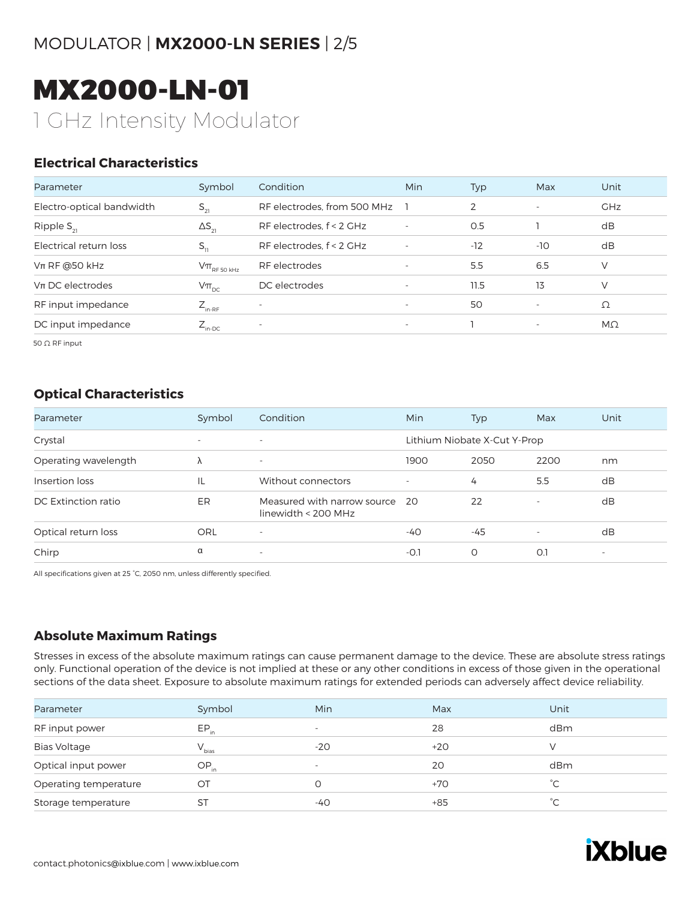## MODULATOR | **MX2000-LN SERIES** | 2/5

# MX2000-LN-01 1 GHz Intensity Modulator

## **Electrical Characteristics**

| Parameter                 | Symbol                      | Condition                   | <b>Min</b>               | Typ   | Max                      | Unit       |
|---------------------------|-----------------------------|-----------------------------|--------------------------|-------|--------------------------|------------|
| Electro-optical bandwidth | $S_{21}$                    | RF electrodes, from 500 MHz |                          | 2     | $\overline{\phantom{a}}$ | <b>GHz</b> |
| Ripple $S_{21}$           | $\Delta S_{21}$             | RF electrodes, $f < 2$ GHz  | $\overline{\phantom{a}}$ | 0.5   |                          | dB         |
| Electrical return loss    | $S_{11}$                    | RF electrodes, f < 2 GHz    | $\overline{\phantom{a}}$ | $-12$ | $-10$                    | dB         |
| $Vπ$ RF @50 kHz           | $V\pi$ <sub>RF 50 kHz</sub> | RF electrodes               | $\overline{\phantom{a}}$ | 5.5   | 6.5                      | V          |
| $Vπ$ DC electrodes        | $V\pi_{DC}$                 | DC electrodes               | $\overline{\phantom{a}}$ | 11.5  | 13                       | V          |
| RF input impedance        | $Z_{_{\text{in-RF}}}$       | $\overline{\phantom{a}}$    | $\overline{\phantom{a}}$ | 50    | $\overline{\phantom{a}}$ | Ω          |
| DC input impedance        | $Z_{\text{in-DC}}$          |                             | $\overline{\phantom{a}}$ |       | $\overline{\phantom{a}}$ | $M\Omega$  |

50 Ω RF input

## **Optical Characteristics**

| Parameter            | Symbol                   | Condition                                            | <b>Min</b>               | Typ                          | Max                      | Unit   |
|----------------------|--------------------------|------------------------------------------------------|--------------------------|------------------------------|--------------------------|--------|
| Crystal              | $\overline{\phantom{0}}$ | $\overline{\phantom{a}}$                             |                          | Lithium Niobate X-Cut Y-Prop |                          |        |
| Operating wavelength | Λ                        | $\overline{\phantom{a}}$                             | 1900                     | 2050                         | 2200                     | nm     |
| Insertion loss       | IL                       | Without connectors                                   | $\overline{\phantom{a}}$ | 4                            | 5.5                      | dB     |
| DC Extinction ratio  | ER                       | Measured with narrow source<br>linewidth < $200$ MHz | - 20                     | 22                           | $\overline{\phantom{a}}$ | dB     |
| Optical return loss  | ORL                      | $\overline{\phantom{a}}$                             | -40                      | $-45$                        | $\overline{\phantom{a}}$ | dB     |
| Chirp                | α                        | $\overline{\phantom{0}}$                             | $-O.1$                   | O                            | O.1                      | $\sim$ |

All specifications given at 25 °C, 2050 nm, unless differently specified.

## **Absolute Maximum Ratings**

Stresses in excess of the absolute maximum ratings can cause permanent damage to the device. These are absolute stress ratings only. Functional operation of the device is not implied at these or any other conditions in excess of those given in the operational sections of the data sheet. Exposure to absolute maximum ratings for extended periods can adversely affect device reliability.

| Parameter             | Symbol     | Min                      | Max   | Unit        |
|-----------------------|------------|--------------------------|-------|-------------|
| RF input power        | $EP_{in}$  | $\overline{\phantom{0}}$ | 28    | dBm         |
| <b>Bias Voltage</b>   | $V_{bias}$ | $-20$                    | $+20$ | $\vee$      |
| Optical input power   | $OP_{in}$  | $\overline{\phantom{a}}$ | 20    | dBm         |
| Operating temperature | OT         |                          | $+70$ | $^{\circ}C$ |
| Storage temperature   | ST         | -40                      | $+85$ | $^{\circ}C$ |

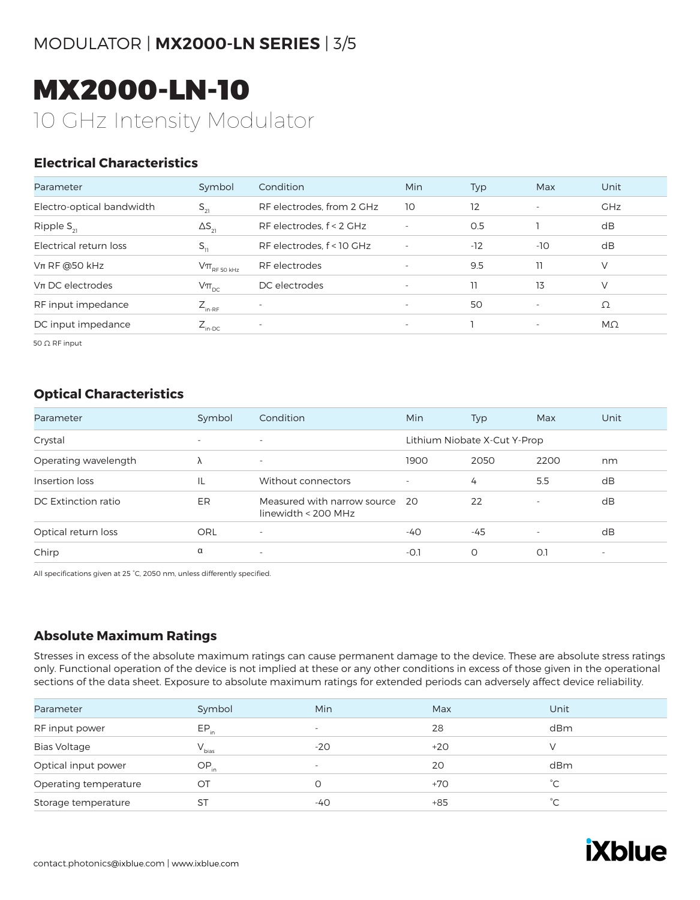## MODULATOR | **MX2000-LN SERIES** | 3/5

# MX2000-LN-10 10 GHz Intensity Modulator

## **Electrical Characteristics**

| Parameter                 | Symbol                                                                              | Condition                 | <b>Min</b>               | Typ   | Max                      | Unit       |
|---------------------------|-------------------------------------------------------------------------------------|---------------------------|--------------------------|-------|--------------------------|------------|
| Electro-optical bandwidth | $S_{21}$                                                                            | RF electrodes, from 2 GHz | 10                       | 12    | $\overline{\phantom{a}}$ | <b>GHz</b> |
| Ripple $S_{21}$           | $\Delta S_{21}$                                                                     | RF electrodes, f < 2 GHz  | $\overline{\phantom{a}}$ | 0.5   |                          | dB         |
| Electrical return loss    | $S_{11}$                                                                            | RF electrodes, f < 10 GHz | $\overline{\phantom{a}}$ | $-12$ | $-10$                    | dB         |
| $Vπ$ RF @50 kHz           | $\mathsf{V}\pi_{\scriptscriptstyle\mathrm{RF}\,50\,\scriptscriptstyle\mathrm{kHz}}$ | RF electrodes             | $\overline{\phantom{a}}$ | 9.5   | 11                       | V          |
| $Vπ$ DC electrodes        | $V\pi_{\text{pc}}$                                                                  | DC electrodes             | $\overline{\phantom{a}}$ | 11    | 13                       | V          |
| RF input impedance        | $Z_{_{\text{in-RF}}}$                                                               | $\overline{\phantom{a}}$  | $\overline{\phantom{a}}$ | 50    | $\overline{\phantom{a}}$ | Ω          |
| DC input impedance        | $Z_{\text{in-DC}}$                                                                  | $\overline{\phantom{a}}$  | $\overline{\phantom{a}}$ |       | $\overline{\phantom{a}}$ | $M\Omega$  |

50 Ω RF input

## **Optical Characteristics**

| Parameter            | Symbol                   | Condition                                          | Min                      | Typ                          | Max                      | Unit   |
|----------------------|--------------------------|----------------------------------------------------|--------------------------|------------------------------|--------------------------|--------|
| Crystal              | $\overline{\phantom{a}}$ | $\overline{\phantom{a}}$                           |                          | Lithium Niobate X-Cut Y-Prop |                          |        |
| Operating wavelength | Λ                        | $\overline{\phantom{a}}$                           | 1900                     | 2050                         | 2200                     | nm     |
| Insertion loss       | IL                       | Without connectors                                 | $\overline{\phantom{a}}$ | 4                            | 5.5                      | dB     |
| DC Extinction ratio  | ER                       | Measured with narrow source<br>linewidth < 200 MHz | - 20                     | 22                           | $\overline{\phantom{a}}$ | dB     |
| Optical return loss  | ORL                      | $\overline{\phantom{a}}$                           | -40                      | $-45$                        | $\overline{\phantom{a}}$ | dB     |
| Chirp                | α                        | $\overline{\phantom{a}}$                           | $-0.1$                   | O                            | O.1                      | $\sim$ |

All specifications given at 25 °C, 2050 nm, unless differently specified.

## **Absolute Maximum Ratings**

Stresses in excess of the absolute maximum ratings can cause permanent damage to the device. These are absolute stress ratings only. Functional operation of the device is not implied at these or any other conditions in excess of those given in the operational sections of the data sheet. Exposure to absolute maximum ratings for extended periods can adversely affect device reliability.

| Parameter             | Symbol     | Min                      | Max   | Unit        |
|-----------------------|------------|--------------------------|-------|-------------|
| RF input power        | $EP_{in}$  | $\overline{\phantom{0}}$ | 28    | dBm         |
| <b>Bias Voltage</b>   | $V_{bias}$ | $-20$                    | $+20$ | $\vee$      |
| Optical input power   | $OP_{in}$  | $\overline{\phantom{a}}$ | 20    | dBm         |
| Operating temperature | OT         |                          | $+70$ | $^{\circ}C$ |
| Storage temperature   | ST         | -40                      | $+85$ | $^{\circ}C$ |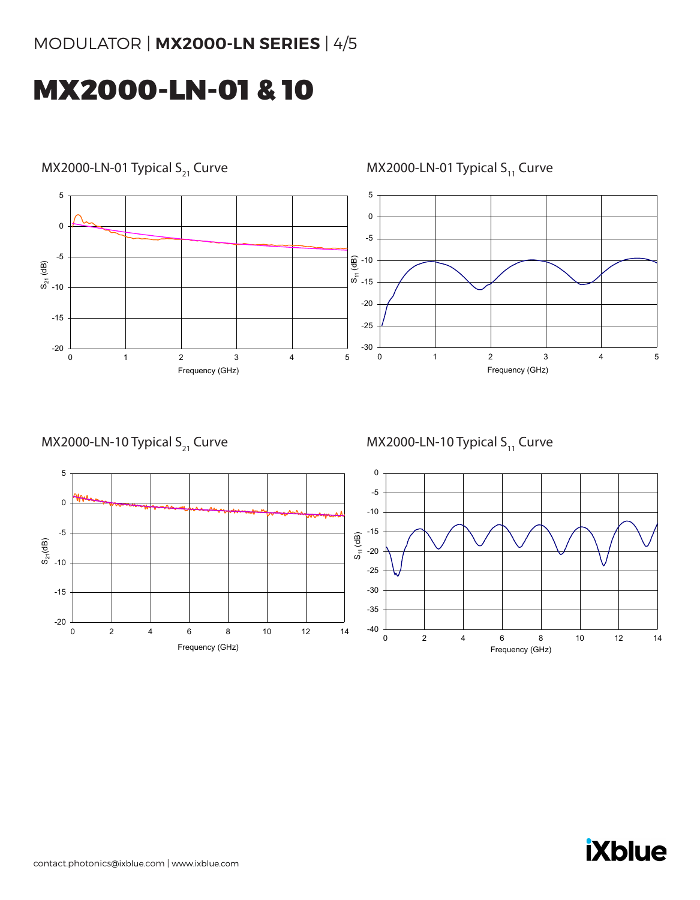## MODULATOR | **MX2000-LN SERIES** | 4/5

# MX2000-LN-01 & 10



MX2000-LN-01 Typical  $S_{11}$  Curve

MX2000-LN-10 Typical  $S_{21}$  Curve

MX2000-LN-10 Typical  $S_{11}$  Curve



# **iXblue**